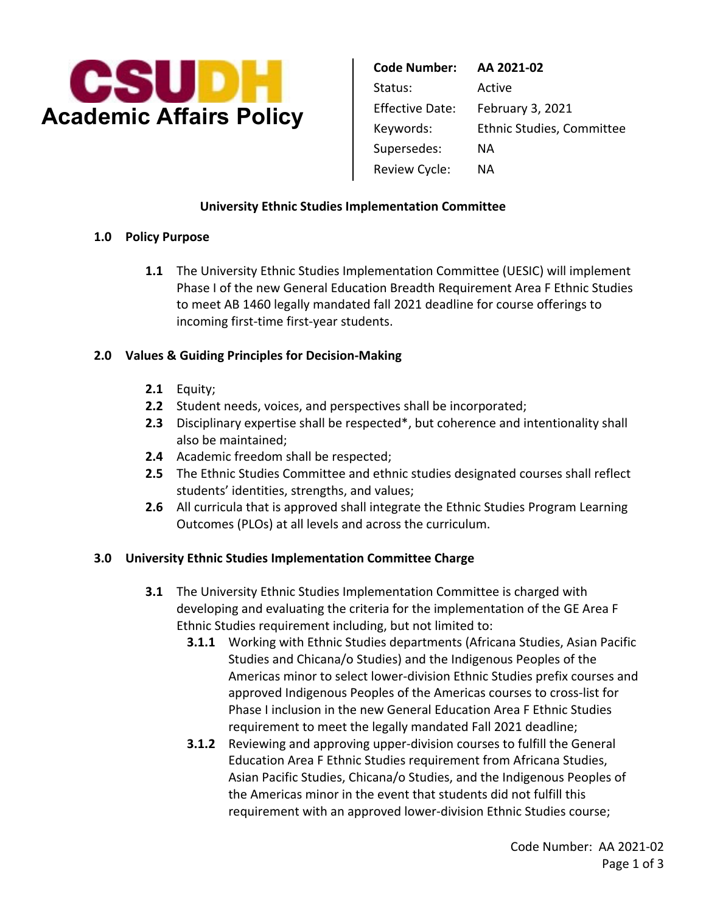

**Code Number: AA 2021-02**  Status: Active Effective Date: February 3, 2021 Keywords: Ethnic Studies, Committee Supersedes: NA Review Cycle: NA

## **University Ethnic Studies Implementation Committee**

## **1.0 Policy Purpose**

**1.1** The University Ethnic Studies Implementation Committee (UESIC) will implement Phase I of the new General Education Breadth Requirement Area F Ethnic Studies to meet AB 1460 legally mandated fall 2021 deadline for course offerings to incoming first-time first-year students.

## **2.0 Values & Guiding Principles for Decision-Making**

- **2.1** Equity;
- **2.2** Student needs, voices, and perspectives shall be incorporated;
- **2.3** Disciplinary expertise shall be respected\*, but coherence and intentionality shall also be maintained;
- **2.4** Academic freedom shall be respected;
- **2.5** The Ethnic Studies Committee and ethnic studies designated courses shall reflect students' identities, strengths, and values;
- **2.6** All curricula that is approved shall integrate the Ethnic Studies Program Learning Outcomes (PLOs) at all levels and across the curriculum.

# **3.0 University Ethnic Studies Implementation Committee Charge**

- **3.1** The University Ethnic Studies Implementation Committee is charged with developing and evaluating the criteria for the implementation of the GE Area F Ethnic Studies requirement including, but not limited to:
	- **3.1.1** Working with Ethnic Studies departments (Africana Studies, Asian Pacific Studies and Chicana/o Studies) and the Indigenous Peoples of the Americas minor to select lower-division Ethnic Studies prefix courses and approved Indigenous Peoples of the Americas courses to cross-list for Phase I inclusion in the new General Education Area F Ethnic Studies requirement to meet the legally mandated Fall 2021 deadline;
	- **3.1.2** Reviewing and approving upper-division courses to fulfill the General Education Area F Ethnic Studies requirement from Africana Studies, Asian Pacific Studies, Chicana/o Studies, and the Indigenous Peoples of the Americas minor in the event that students did not fulfill this requirement with an approved lower-division Ethnic Studies course;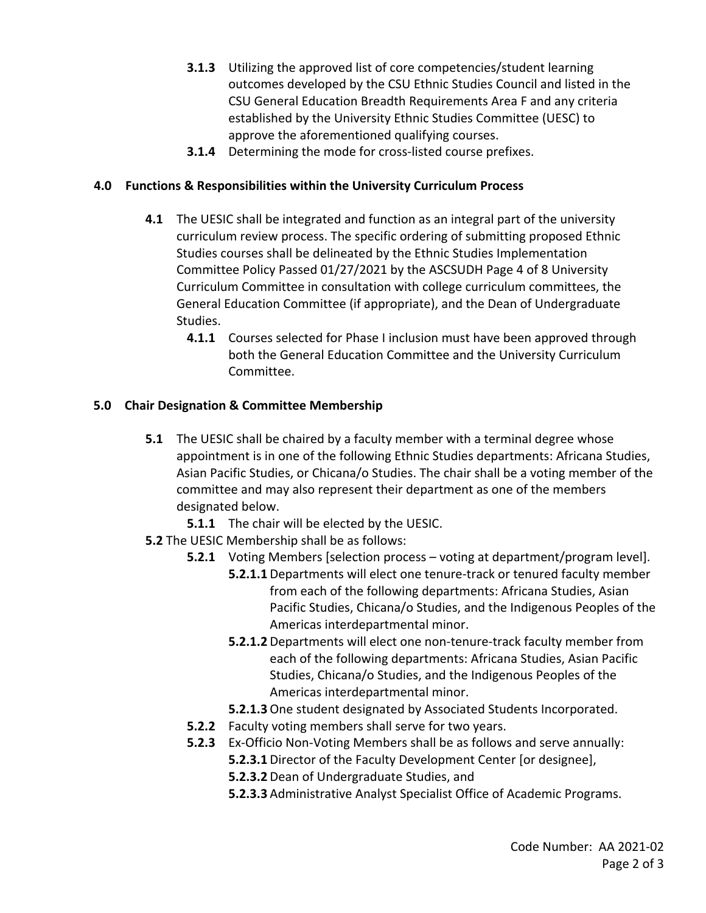- **3.1.3** Utilizing the approved list of core competencies/student learning outcomes developed by the CSU Ethnic Studies Council and listed in the CSU General Education Breadth Requirements Area F and any criteria established by the University Ethnic Studies Committee (UESC) to approve the aforementioned qualifying courses.
- **3.1.4** Determining the mode for cross-listed course prefixes.

# **4.0 Functions & Responsibilities within the University Curriculum Process**

- **4.1** The UESIC shall be integrated and function as an integral part of the university curriculum review process. The specific ordering of submitting proposed Ethnic Studies courses shall be delineated by the Ethnic Studies Implementation Committee Policy Passed 01/27/2021 by the ASCSUDH Page 4 of 8 University Curriculum Committee in consultation with college curriculum committees, the General Education Committee (if appropriate), and the Dean of Undergraduate Studies.
	- **4.1.1** Courses selected for Phase I inclusion must have been approved through both the General Education Committee and the University Curriculum Committee.

# **5.0 Chair Designation & Committee Membership**

- **5.1** The UESIC shall be chaired by a faculty member with a terminal degree whose appointment is in one of the following Ethnic Studies departments: Africana Studies, Asian Pacific Studies, or Chicana/o Studies. The chair shall be a voting member of the committee and may also represent their department as one of the members designated below.
	- **5.1.1** The chair will be elected by the UESIC.
- **5.2** The UESIC Membership shall be as follows:
	- **5.2.1** Voting Members [selection process voting at department/program level].
		- **5.2.1.1** Departments will elect one tenure-track or tenured faculty member from each of the following departments: Africana Studies, Asian Pacific Studies, Chicana/o Studies, and the Indigenous Peoples of the Americas interdepartmental minor.
		- **5.2.1.2** Departments will elect one non-tenure-track faculty member from each of the following departments: Africana Studies, Asian Pacific Studies, Chicana/o Studies, and the Indigenous Peoples of the Americas interdepartmental minor.
		- **5.2.1.3** One student designated by Associated Students Incorporated.
	- **5.2.2** Faculty voting members shall serve for two years.
	- **5.2.3** Ex-Officio Non-Voting Members shall be as follows and serve annually:
		- **5.2.3.1** Director of the Faculty Development Center [or designee],
		- **5.2.3.2** Dean of Undergraduate Studies, and
		- **5.2.3.3** Administrative Analyst Specialist Office of Academic Programs.